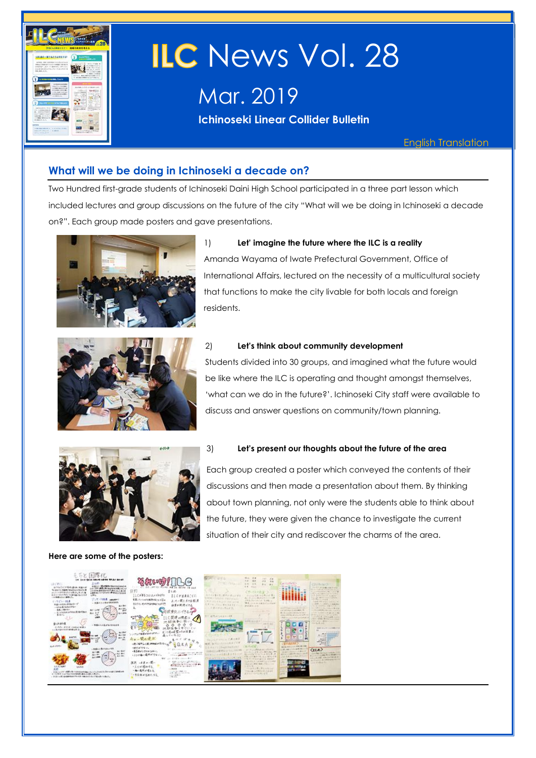

# **ILC** News Vol. 28

Mar. 2019

**Ichinoseki Linear Collider Bulletin** 

English Translation

#### **What will we be doing in Ichinoseki a decade on?**

Two Hundred first-grade students of Ichinoseki Daini High School participated in a three part lesson which included lectures and group discussions on the future of the city "What will we be doing in Ichinoseki a decade on?". Each group made posters and gave presentations.



#### 1) **Let' imagine the future where the ILC is a reality**

Amanda Wayama of Iwate Prefectural Government, Office of International Affairs, lectured on the necessity of a multicultural society that functions to make the city livable for both locals and foreign residents.



#### 2) **Let's think about community development**

Students divided into 30 groups, and imagined what the future would be like where the ILC is operating and thought amongst themselves, 'what can we do in the future?'. Ichinoseki City staff were available to discuss and answer questions on community/town planning.



#### **Here are some of the posters:**

#### 3) **Let's present our thoughts about the future of the area**

Each group created a poster which conveyed the contents of their discussions and then made a presentation about them. By thinking about town planning, not only were the students able to think about the future, they were given the chance to investigate the current situation of their city and rediscover the charms of the area.

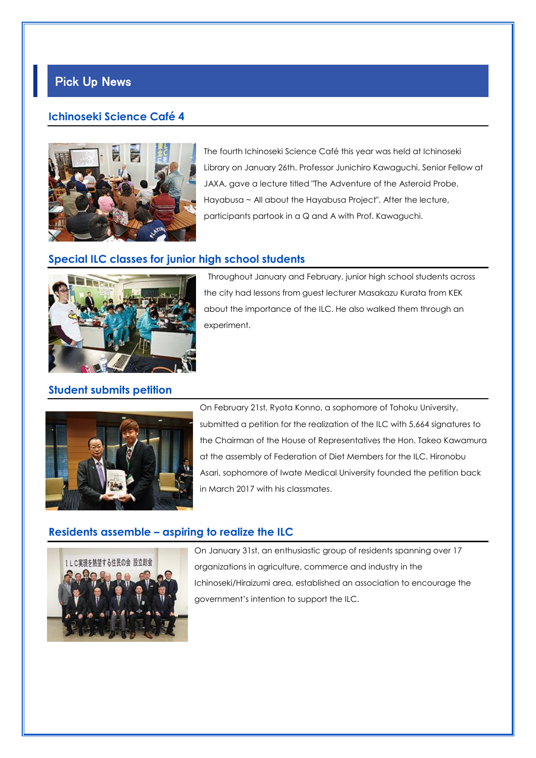# Pick Up News

#### **Ichinoseki Science Café 4**



The fourth Ichinoseki Science Café this year was held at Ichinoseki Library on January 26th. Professor Junichiro Kawaguchi, Senior Fellow at JAXA, gave a lecture titled "The Adventure of the Asteroid Probe, Hayabusa ~ All about the Hayabusa Project". After the lecture, participants partook in a Q and A with Prof. Kawaguchi.

#### **Special ILC classes for junior high school students**



Throughout January and February, junior high school students across the city had lessons from guest lecturer Masakazu Kurata from KEK about the importance of the ILC. He also walked them through an experiment.

#### **Student submits petition**



On February 21st, Ryota Konno, a sophomore of Tohoku University, submitted a petition for the realization of the ILC with 5,664 signatures to the Chairman of the House of Representatives the Hon. Takeo Kawamura at the assembly of Federation of Diet Members for the ILC. Hironobu Asari, sophomore of Iwate Medical University founded the petition back in March 2017 with his classmates.

#### **Residents assemble – aspiring to realize the ILC**



On January 31st, an enthusiastic group of residents spanning over 17 organizations in agriculture, commerce and industry in the Ichinoseki/Hiraizumi area, established an association to encourage the government's intention to support the ILC.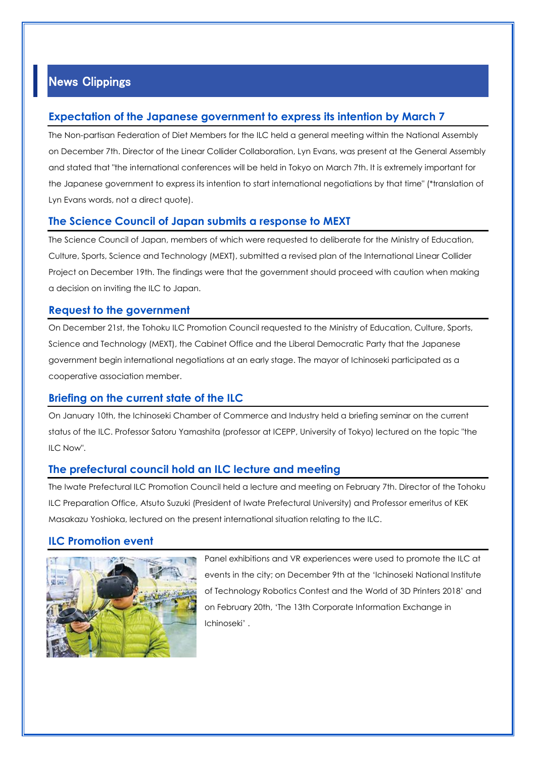### News Clippings

#### **Expectation of the Japanese government to express its intention by March 7**

The Non-partisan Federation of Diet Members for the ILC held a general meeting within the National Assembly on December 7th. Director of the Linear Collider Collaboration, Lyn Evans, was present at the General Assembly and stated that "the international conferences will be held in Tokyo on March 7th. It is extremely important for the Japanese government to express its intention to start international negotiations by that time" (\*translation of Lyn Evans words, not a direct quote).

#### **The Science Council of Japan submits a response to MEXT**

The Science Council of Japan, members of which were requested to deliberate for the Ministry of Education, Culture, Sports, Science and Technology (MEXT), submitted a revised plan of the International Linear Collider Project on December 19th. The findings were that the government should proceed with caution when making a decision on inviting the ILC to Japan.

#### **Request to the government**

On December 21st, the Tohoku ILC Promotion Council requested to the Ministry of Education, Culture, Sports, Science and Technology (MEXT), the Cabinet Office and the Liberal Democratic Party that the Japanese government begin international negotiations at an early stage. The mayor of Ichinoseki participated as a cooperative association member.

#### **Briefing on the current state of the ILC**

On January 10th, the Ichinoseki Chamber of Commerce and Industry held a briefing seminar on the current status of the ILC. Professor Satoru Yamashita (professor at ICEPP, University of Tokyo) lectured on the topic "the ILC Now".

#### **The prefectural council hold an ILC lecture and meeting**

The Iwate Prefectural ILC Promotion Council held a lecture and meeting on February 7th. Director of the Tohoku ILC Preparation Office, Atsuto Suzuki (President of Iwate Prefectural University) and Professor emeritus of KEK Masakazu Yoshioka, lectured on the present international situation relating to the ILC.

#### **ILC Promotion event**



Panel exhibitions and VR experiences were used to promote the ILC at events in the city; on December 9th at the 'Ichinoseki National Institute of Technology Robotics Contest and the World of 3D Printers 2018' and on February 20th, 'The 13th Corporate Information Exchange in Ichinoseki' .